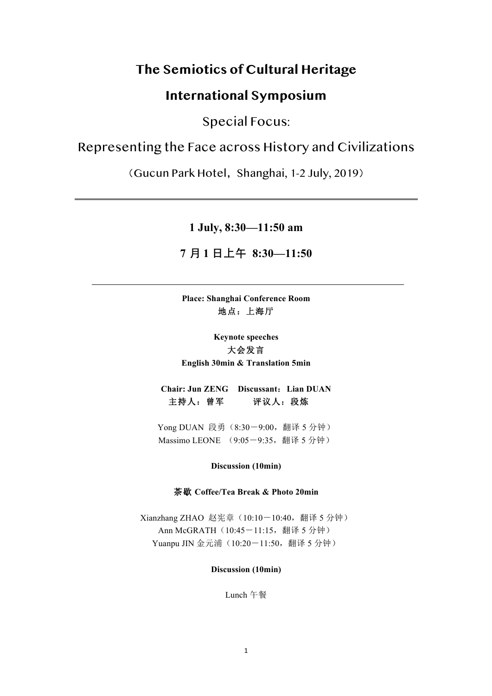# **The Semiotics of Cultural Heritage**

# **International Symposium**

Special Focus:

# Representing the Face across History and Civilizations

(Gucun Park Hotel, Shanghai, 1-2 July, 2019)

**1 July, 8:30—11:50 am**

# **7** ⽉ **1** ⽇上午 **8:30—11:50**

**Place: Shanghai Conference Room**  地点:上海厅

**Keynote speeches** 大会发言 **English 30min & Translation 5min**

**Chair: Jun ZENG Discussant**:**Lian DUAN** 主持人:曾军评议人:段炼

Yong DUAN 段勇 (8:30-9:00, 翻译 5 分钟) Massimo LEONE (9:05-9:35, 翻译 5 分钟)

#### **Discussion (10min)**

#### 茶歇 **Coffee/Tea Break & Photo 20min**

Xianzhang ZHAO 赵宪章 (10:10-10:40, 翻译 5 分钟) Ann McGRATH (10:45-11:15, 翻译 5 分钟) Yuanpu JIN 金元浦 (10:20-11:50, 翻译 5 分钟)

### **Discussion (10min)**

Lunch 午餐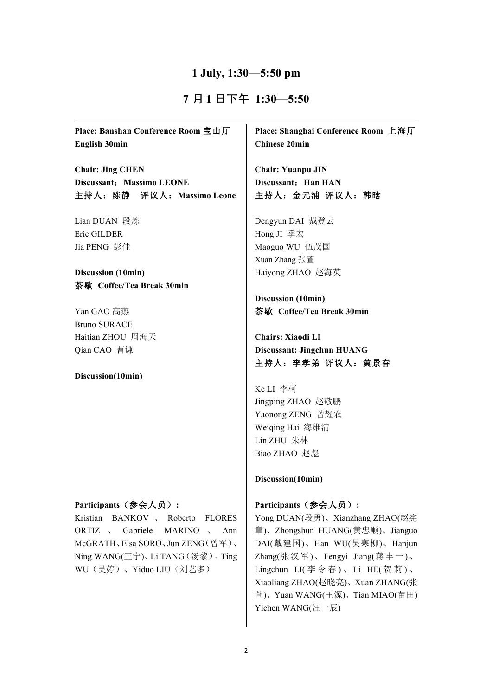### **1 July, 1:30—5:50 pm**

## **7** ⽉ **1** ⽇下午 **1:30—5:50**

**Place: Banshan Conference Room** 宝山厅 **English 30min**

**Chair: Jing CHEN Discussant**:**Massimo LEONE** 主持人:陈静评议人:**Massimo Leone**

Lian DUAN 段炼 Eric GILDER Jia PENG 彭佳

**Discussion (10min)** 茶歇 **Coffee/Tea Break 30min**

Yan GAO 高燕 Bruno SURACE Haitian ZHOU 周海天 Qian CAO 曹谦

#### **Discussion(10min)**

#### **Participants**(参会人员)**:**

Kristian BANKOV 、 Roberto FLORES ORTIZ 、 Gabriele MARINO 、 Ann McGRATH、Elsa SORO、Jun ZENG(曾军)、 Ning WANG(王宁)、Li TANG(汤黎)、Ting WU(吴婷)、Yiduo LIU(刘艺多)

**Place: Shanghai Conference Room** 上海厅 **Chinese 20min**

**Chair: Yuanpu JIN Discussant:** Han HAN 主持人:金元浦 评议人:韩晗

Dengyun DAI 戴登云 Hong JI 季宏 Maoguo WU 伍茂国 Xuan Zhang 张萱 Haiyong ZHAO 赵海英

**Discussion (10min)** 茶歇 **Coffee/Tea Break 30min**

**Chairs: Xiaodi LI Discussant: Jingchun HUANG** 主持人:李孝弟 评议人:黄景春

Ke LI 李柯 Jingping ZHAO 赵敬鹏 Yaonong ZENG 曾耀农 Weiqing Hai 海维清 Lin ZHU 朱林 Biao ZHAO 赵彪

#### **Discussion(10min)**

#### **Participants**(参会人员)**:**

Yong DUAN(段勇)、Xianzhang ZHAO(赵宪 章)、Zhongshun HUANG(黄忠顺)、Jianguo DAI(戴建国)、Han WU(吴寒柳)、Hanjun Zhang(张汉军)、Fengyi Jiang(蒋丰一)、 Lingchun LI(李令春)、Li HE(贺莉)、 Xiaoliang ZHAO(赵晓亮)、Xuan ZHANG(张 萱)、Yuan WANG(王源)、Tian MIAO(苗田) Yichen WANG(汪一辰)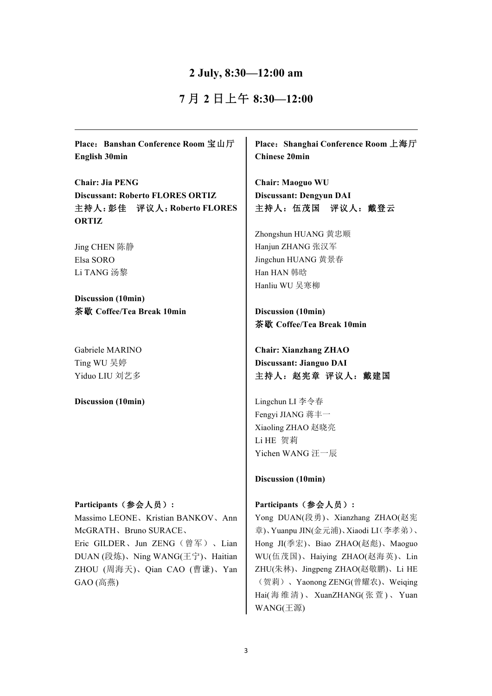### **2 July, 8:30—12:00 am**

# **7** 月 **2** 日上午 **8:30—12:00**

**Place**:**Banshan Conference Room** 宝山厅 **English 30min**

**Chair: Jia PENG Discussant: Roberto FLORES ORTIZ** 主持人:彭佳评议人:**Roberto FLORES ORTIZ**

Jing CHEN 陈静 Elsa SORO Li TANG 汤黎

**Discussion (10min)** 茶歇 **Coffee/Tea Break 10min**

Gabriele MARINO Ting WU 吴婷 Yiduo LIU 刘艺多

**Discussion (10min)**

#### **Participants**(参会人员)**:**

Massimo LEONE、Kristian BANKOV、Ann McGRATH、Bruno SURACE、 Eric GILDER、Jun ZENG(曾军)、Lian DUAN (段炼)、Ning WANG(王宁)、Haitian ZHOU (周海天)、Qian CAO (曹谦)、Yan GAO (高燕)

**Place**:**Shanghai Conference Room** 上海厅 **Chinese 20min**

**Chair: Maoguo WU Discussant: Dengyun DAI** 主持人:伍茂国评议人:戴登云

Zhongshun HUANG 黄忠顺 Hanjun ZHANG 张汉军 Jingchun HUANG 黄景春 Han HAN 韩晗 Hanliu WU 吴寒柳

**Discussion (10min)** 茶歇 **Coffee/Tea Break 10min**

**Chair: Xianzhang ZHAO Discussant: Jianguo DAI** 主持人:赵宪章 评议人:戴建国

Lingchun LI 李令春 Fengyi JIANG 蒋丰一 Xiaoling ZHAO 赵晓亮 Li HE 贺莉 Yichen WANG 汪一辰

**Discussion (10min)**

#### **Participants**(参会人员)**:**

Yong DUAN(段勇)、Xianzhang ZHAO(赵宪 章)、Yuanpu JIN(金元浦)、Xiaodi LI(李孝弟)、 Hong JI(季宏)、Biao ZHAO(赵彪)、Maoguo WU(伍茂国)、Haiying ZHAO(赵海英)、Lin ZHU(朱林)、Jingpeng ZHAO(赵敬鹏)、Li HE (贺莉)、Yaonong ZENG(曾耀农)、Weiqing Hai( 海 维 清 )、 XuanZHANG( 张 萱 )、 Yuan WANG(王源)